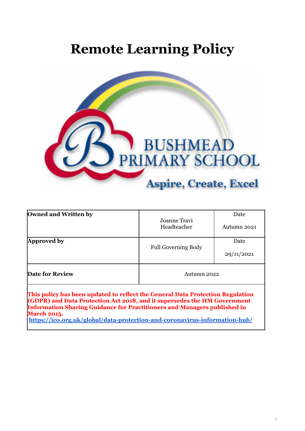# **Remote Learning Policy**



| Owned and Written by<br>Joanne Travi<br>Headteacher                                                                                                                                                                                                                 | Date                       |             |
|---------------------------------------------------------------------------------------------------------------------------------------------------------------------------------------------------------------------------------------------------------------------|----------------------------|-------------|
|                                                                                                                                                                                                                                                                     |                            | Autumn 2021 |
| Approved by                                                                                                                                                                                                                                                         |                            | Date        |
|                                                                                                                                                                                                                                                                     | <b>Full Governing Body</b> | 29/11/2021  |
| Date for Review                                                                                                                                                                                                                                                     | Autumn 2022                |             |
| This policy has been updated to reflect the General Data Protection Regulation<br>(GDPR) and Data Protection Act 2018, and it supersedes the HM Government<br><b>Information Sharing Guidance for Practitioners and Managers published in</b><br><b>March 2015.</b> |                            |             |

**<https://ico.org.uk/global/data-protection-and-coronavirus-information-hub/>**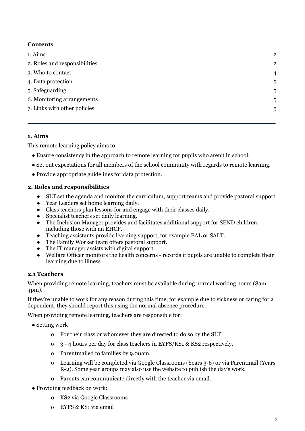# **Contents**

| 1. Aims                       | $\mathbf{2}$   |
|-------------------------------|----------------|
| 2. Roles and responsibilities | $\mathbf{2}$   |
| 3. Who to contact             | $\overline{4}$ |
| 4. Data protection            | 5              |
| 5. Safeguarding               | $\sqrt{5}$     |
| 6. Monitoring arrangements    | 5              |
| 7. Links with other policies  | 5              |
|                               |                |

#### <span id="page-1-0"></span>**1. Aims**

This remote learning policy aims to:

- Ensure consistency in the approach to remote learning for pupils who aren't in school.
- Set out expectations for all members of the school community with regards to remote learning.
- <span id="page-1-1"></span>● Provide appropriate guidelines for data protection.

## **2. Roles and responsibilities**

- SLT set the agenda and monitor the curriculum, support teams and provide pastoral support.
- Year Leaders set home learning daily.
- Class teachers plan lessons for and engage with their classes daily.
- Specialist teachers set daily learning.
- The Inclusion Manager provides and facilitates additional support for SEND children, including those with an EHCP.
- Teaching assistants provide learning support, for example EAL or SALT.
- The Family Worker team offers pastoral support.
- The IT manager assists with digital support.
- Welfare Officer monitors the health concerns records if pupils are unable to complete their learning due to illness

# **2.1 Teachers**

When providing remote learning, teachers must be available during normal working hours (8am - 4pm).

If they're unable to work for any reason during this time, for example due to sickness or caring for a dependent, they should report this using the normal absence procedure.

When providing remote learning, teachers are responsible for:

- Setting work
	- o For their class or whomever they are directed to do so by the SLT
	- o 3 4 hours per day for class teachers in EYFS/KS1 & KS2 respectively.
	- o Parentmailed to families by 9.00am.
	- o Learning will be completed via Google Classrooms (Years 3-6) or via Parentmail (Years R-2). Some year groups may also use the website to publish the day's work.
	- o Parents can communicate directly with the teacher via email.
- Providing feedback on work:
	- o KS2 via Google Classrooms
	- o EYFS & KS1 via email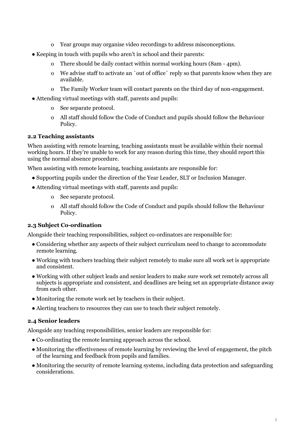- o Year groups may organise video recordings to address misconceptions.
- Keeping in touch with pupils who aren't in school and their parents:
	- o There should be daily contact within normal working hours (8am 4pm).
	- o We advise staff to activate an `out of office` reply so that parents know when they are available.
	- o The Family Worker team will contact parents on the third day of non-engagement.
- Attending virtual meetings with staff, parents and pupils:
	- o See separate protocol.
	- o All staff should follow the Code of Conduct and pupils should follow the Behaviour Policy.

#### **2.2 Teaching assistants**

When assisting with remote learning, teaching assistants must be available within their normal working hours. If they're unable to work for any reason during this time, they should report this using the normal absence procedure.

When assisting with remote learning, teaching assistants are responsible for:

- Supporting pupils under the direction of the Year Leader, SLT or Inclusion Manager.
- Attending virtual meetings with staff, parents and pupils:
	- o See separate protocol.
	- o All staff should follow the Code of Conduct and pupils should follow the Behaviour Policy.

# **2.3 Subject Co-ordination**

Alongside their teaching responsibilities, subject co-ordinators are responsible for:

- Considering whether any aspects of their subject curriculum need to change to accommodate remote learning.
- Working with teachers teaching their subject remotely to make sure all work set is appropriate and consistent.
- Working with other subject leads and senior leaders to make sure work set remotely across all subjects is appropriate and consistent, and deadlines are being set an appropriate distance away from each other.
- Monitoring the remote work set by teachers in their subject.
- Alerting teachers to resources they can use to teach their subject remotely.

# **2.4 Senior leaders**

Alongside any teaching responsibilities, senior leaders are responsible for:

- Co-ordinating the remote learning approach across the school.
- Monitoring the effectiveness of remote learning by reviewing the level of engagement, the pitch of the learning and feedback from pupils and families.
- Monitoring the security of remote learning systems, including data protection and safeguarding considerations.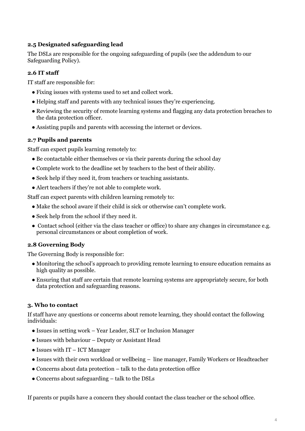# **2.5 Designated safeguarding lead**

The DSLs are responsible for the ongoing safeguarding of pupils (see the addendum to our Safeguarding Policy).

# **2.6 IT staff**

IT staff are responsible for:

- Fixing issues with systems used to set and collect work.
- Helping staff and parents with any technical issues they're experiencing.
- Reviewing the security of remote learning systems and flagging any data protection breaches to the data protection officer.
- Assisting pupils and parents with accessing the internet or devices.

## **2.7 Pupils and parents**

Staff can expect pupils learning remotely to:

- Be contactable either themselves or via their parents during the school day
- Complete work to the deadline set by teachers to the best of their ability.
- Seek help if they need it, from teachers or teaching assistants.
- Alert teachers if they're not able to complete work.

Staff can expect parents with children learning remotely to:

- Make the school aware if their child is sick or otherwise can't complete work.
- Seek help from the school if they need it.
- Contact school (either via the class teacher or office) to share any changes in circumstance e.g. personal circumstances or about completion of work.

# **2.8 Governing Body**

The Governing Body is responsible for:

- Monitoring the school's approach to providing remote learning to ensure education remains as high quality as possible.
- Ensuring that staff are certain that remote learning systems are appropriately secure, for both data protection and safeguarding reasons.

#### <span id="page-3-0"></span>**3. Who to contact**

If staff have any questions or concerns about remote learning, they should contact the following individuals:

- Issues in setting work Year Leader, SLT or Inclusion Manager
- Issues with behaviour Deputy or Assistant Head
- $\bullet$  Issues with IT ICT Manager
- Issues with their own workload or wellbeing line manager, Family Workers or Headteacher
- $\bullet$  Concerns about data protection  $-$  talk to the data protection office
- Concerns about safeguarding talk to the DSLs

<span id="page-3-1"></span>If parents or pupils have a concern they should contact the class teacher or the school office.